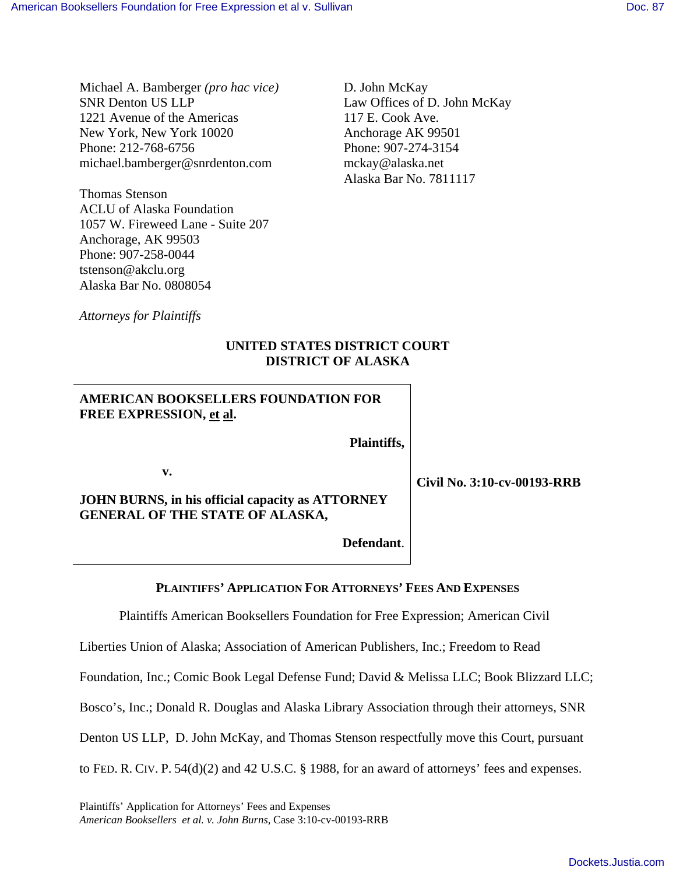Michael A. Bamberger *(pro hac vice)* SNR Denton US LLP 1221 Avenue of the Americas New York, New York 10020 Phone: 212-768-6756 michael.bamberger@snrdenton.com

Thomas Stenson ACLU of Alaska Foundation 1057 W. Fireweed Lane - Suite 207 Anchorage, AK 99503 Phone: 907-258-0044 tstenson@akclu.org Alaska Bar No. 0808054

D. John McKay Law Offices of D. John McKay 117 E. Cook Ave. Anchorage AK 99501 Phone: 907-274-3154 mckay@alaska.net Alaska Bar No. 7811117

*Attorneys for Plaintiffs*

# **UNITED STATES DISTRICT COURT DISTRICT OF ALASKA**

# **AMERICAN BOOKSELLERS FOUNDATION FOR FREE EXPRESSION, et al.**

 **Plaintiffs,**

**v.** 

**JOHN BURNS, in his official capacity as ATTORNEY GENERAL OF THE STATE OF ALASKA,** 

 **Defendant**.

**PLAINTIFFS' APPLICATION FOR ATTORNEYS' FEES AND EXPENSES**

Plaintiffs American Booksellers Foundation for Free Expression; American Civil

Liberties Union of Alaska; Association of American Publishers, Inc.; Freedom to Read

Foundation, Inc.; Comic Book Legal Defense Fund; David & Melissa LLC; Book Blizzard LLC;

Bosco's, Inc.; Donald R. Douglas and Alaska Library Association through their attorneys, SNR

Denton US LLP, D. John McKay, and Thomas Stenson respectfully move this Court, pursuant

to FED. R. CIV. P. 54(d)(2) and 42 U.S.C. § 1988, for an award of attorneys' fees and expenses.

Plaintiffs' Application for Attorneys' Fees and Expenses *American Booksellers et al. v. John Burns,* Case 3:10-cv-00193-RRB **Civil No. 3:10-cv-00193-RRB**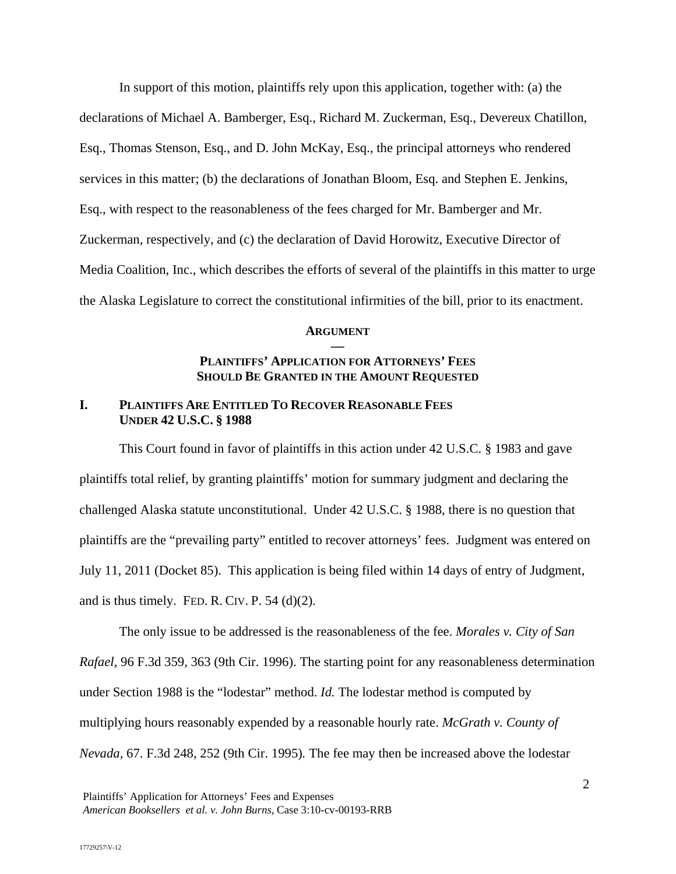In support of this motion, plaintiffs rely upon this application, together with: (a) the declarations of Michael A. Bamberger, Esq., Richard M. Zuckerman, Esq., Devereux Chatillon, Esq., Thomas Stenson, Esq., and D. John McKay, Esq., the principal attorneys who rendered services in this matter; (b) the declarations of Jonathan Bloom, Esq. and Stephen E. Jenkins, Esq., with respect to the reasonableness of the fees charged for Mr. Bamberger and Mr. Zuckerman, respectively, and (c) the declaration of David Horowitz, Executive Director of Media Coalition, Inc., which describes the efforts of several of the plaintiffs in this matter to urge the Alaska Legislature to correct the constitutional infirmities of the bill, prior to its enactment.

## **ARGUMENT —**

## **PLAINTIFFS' APPLICATION FOR ATTORNEYS' FEES SHOULD BE GRANTED IN THE AMOUNT REQUESTED**

## **I. PLAINTIFFS ARE ENTITLED TO RECOVER REASONABLE FEES UNDER 42 U.S.C. § 1988**

This Court found in favor of plaintiffs in this action under 42 U.S.C. § 1983 and gave plaintiffs total relief, by granting plaintiffs' motion for summary judgment and declaring the challenged Alaska statute unconstitutional. Under 42 U.S.C. § 1988, there is no question that plaintiffs are the "prevailing party" entitled to recover attorneys' fees. Judgment was entered on July 11, 2011 (Docket 85). This application is being filed within 14 days of entry of Judgment, and is thus timely. FED. R. CIV. P.  $54$  (d)(2).

The only issue to be addressed is the reasonableness of the fee. *Morales v. City of San Rafael*, 96 F.3d 359, 363 (9th Cir. 1996). The starting point for any reasonableness determination under Section 1988 is the "lodestar" method. *Id.* The lodestar method is computed by multiplying hours reasonably expended by a reasonable hourly rate. *McGrath v. County of Nevada,* 67. F.3d 248, 252 (9th Cir. 1995)*.* The fee may then be increased above the lodestar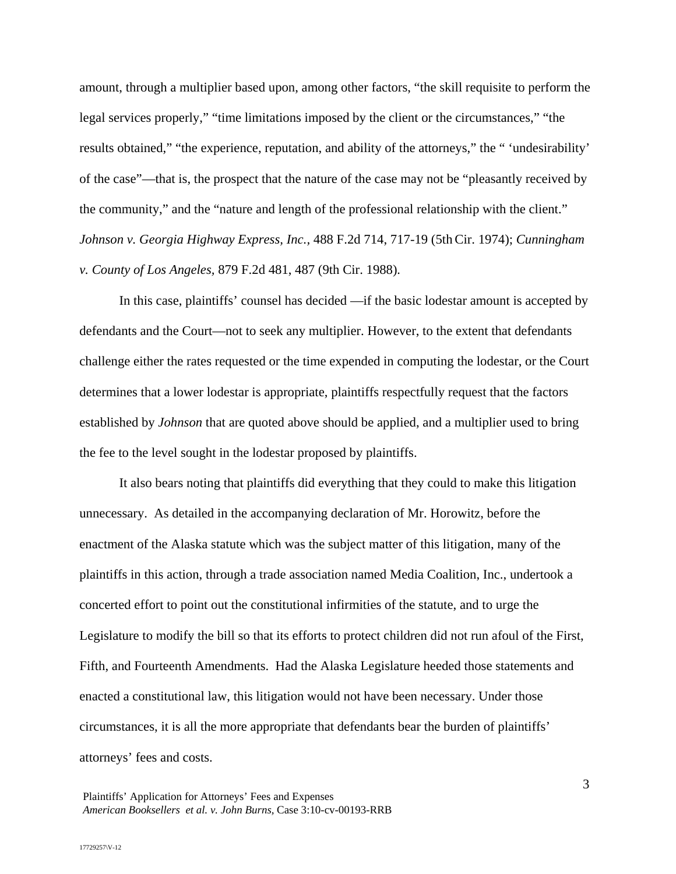amount, through a multiplier based upon, among other factors, "the skill requisite to perform the legal services properly," "time limitations imposed by the client or the circumstances," "the results obtained," "the experience, reputation, and ability of the attorneys," the " 'undesirability' of the case"—that is, the prospect that the nature of the case may not be "pleasantly received by the community," and the "nature and length of the professional relationship with the client." *Johnson v. Georgia Highway Express, Inc.,* 488 F.2d 714, 717-19 (5thCir. 1974); *Cunningham v. County of Los Angeles,* 879 F.2d 481, 487 (9th Cir. 1988)*.*

In this case, plaintiffs' counsel has decided —if the basic lodestar amount is accepted by defendants and the Court—not to seek any multiplier. However, to the extent that defendants challenge either the rates requested or the time expended in computing the lodestar, or the Court determines that a lower lodestar is appropriate, plaintiffs respectfully request that the factors established by *Johnson* that are quoted above should be applied, and a multiplier used to bring the fee to the level sought in the lodestar proposed by plaintiffs.

It also bears noting that plaintiffs did everything that they could to make this litigation unnecessary. As detailed in the accompanying declaration of Mr. Horowitz, before the enactment of the Alaska statute which was the subject matter of this litigation, many of the plaintiffs in this action, through a trade association named Media Coalition, Inc., undertook a concerted effort to point out the constitutional infirmities of the statute, and to urge the Legislature to modify the bill so that its efforts to protect children did not run afoul of the First, Fifth, and Fourteenth Amendments. Had the Alaska Legislature heeded those statements and enacted a constitutional law, this litigation would not have been necessary. Under those circumstances, it is all the more appropriate that defendants bear the burden of plaintiffs' attorneys' fees and costs.

3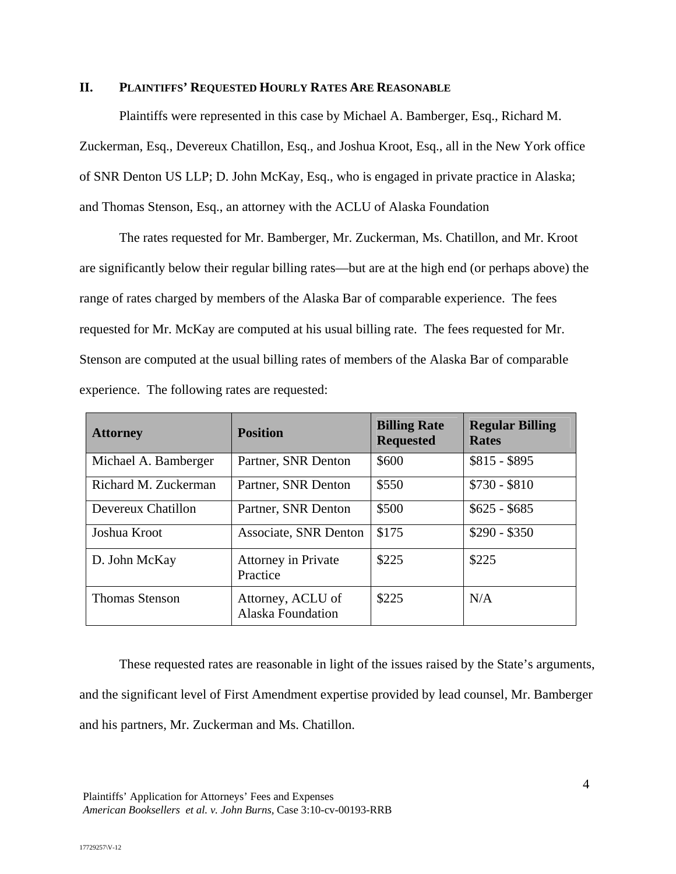## **II. PLAINTIFFS' REQUESTED HOURLY RATES ARE REASONABLE**

Plaintiffs were represented in this case by Michael A. Bamberger, Esq., Richard M. Zuckerman, Esq., Devereux Chatillon, Esq., and Joshua Kroot, Esq., all in the New York office of SNR Denton US LLP; D. John McKay, Esq., who is engaged in private practice in Alaska; and Thomas Stenson, Esq., an attorney with the ACLU of Alaska Foundation

The rates requested for Mr. Bamberger, Mr. Zuckerman, Ms. Chatillon, and Mr. Kroot are significantly below their regular billing rates—but are at the high end (or perhaps above) the range of rates charged by members of the Alaska Bar of comparable experience. The fees requested for Mr. McKay are computed at his usual billing rate. The fees requested for Mr. Stenson are computed at the usual billing rates of members of the Alaska Bar of comparable experience. The following rates are requested:

| <b>Attorney</b>       | <b>Position</b>                               | <b>Billing Rate</b><br><b>Requested</b> | <b>Regular Billing</b><br><b>Rates</b> |
|-----------------------|-----------------------------------------------|-----------------------------------------|----------------------------------------|
| Michael A. Bamberger  | Partner, SNR Denton                           | \$600                                   | $$815 - $895$                          |
| Richard M. Zuckerman  | Partner, SNR Denton                           | \$550                                   | $$730 - $810$                          |
| Devereux Chatillon    | Partner, SNR Denton                           | \$500                                   | $$625 - $685$                          |
| Joshua Kroot          | <b>Associate, SNR Denton</b>                  | \$175                                   | $$290 - $350$                          |
| D. John McKay         | <b>Attorney in Private</b><br>Practice        | \$225                                   | \$225                                  |
| <b>Thomas Stenson</b> | Attorney, ACLU of<br><b>Alaska Foundation</b> | \$225                                   | N/A                                    |

These requested rates are reasonable in light of the issues raised by the State's arguments, and the significant level of First Amendment expertise provided by lead counsel, Mr. Bamberger and his partners, Mr. Zuckerman and Ms. Chatillon.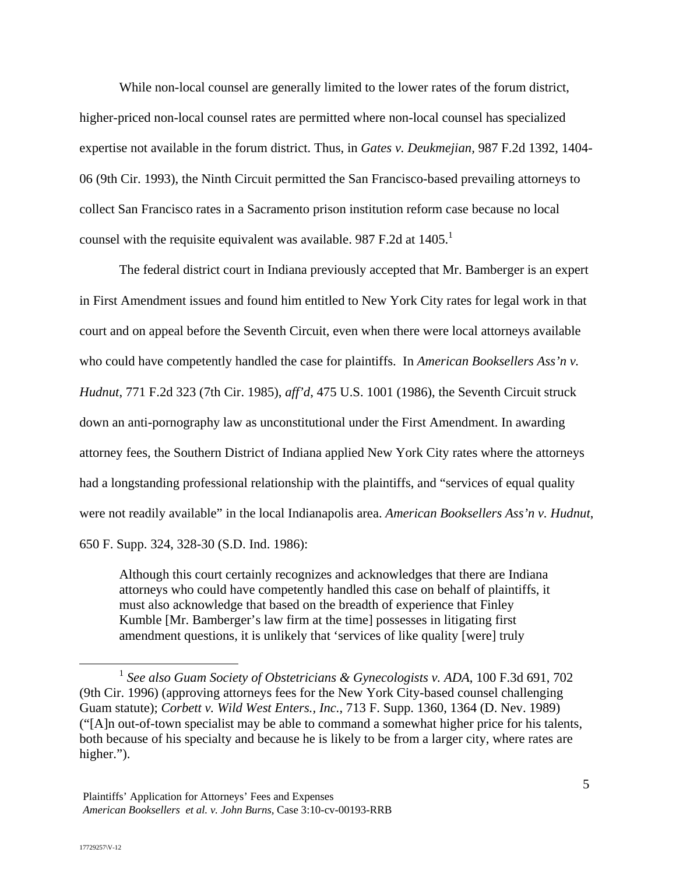While non-local counsel are generally limited to the lower rates of the forum district, higher-priced non-local counsel rates are permitted where non-local counsel has specialized expertise not available in the forum district. Thus, in *Gates v. Deukmejian,* 987 F.2d 1392, 1404- 06 (9th Cir. 1993), the Ninth Circuit permitted the San Francisco-based prevailing attorneys to collect San Francisco rates in a Sacramento prison institution reform case because no local counsel with the requisite equivalent was available. 987 F.2d at  $1405<sup>1</sup>$ 

The federal district court in Indiana previously accepted that Mr. Bamberger is an expert in First Amendment issues and found him entitled to New York City rates for legal work in that court and on appeal before the Seventh Circuit, even when there were local attorneys available who could have competently handled the case for plaintiffs. In *American Booksellers Ass'n v. Hudnut*, 771 F.2d 323 (7th Cir. 1985), *aff'd*, 475 U.S. 1001 (1986), the Seventh Circuit struck down an anti-pornography law as unconstitutional under the First Amendment. In awarding attorney fees, the Southern District of Indiana applied New York City rates where the attorneys had a longstanding professional relationship with the plaintiffs, and "services of equal quality were not readily available" in the local Indianapolis area. *American Booksellers Ass'n v. Hudnut*, 650 F. Supp. 324, 328-30 (S.D. Ind. 1986):

Although this court certainly recognizes and acknowledges that there are Indiana attorneys who could have competently handled this case on behalf of plaintiffs, it must also acknowledge that based on the breadth of experience that Finley Kumble [Mr. Bamberger's law firm at the time] possesses in litigating first amendment questions, it is unlikely that 'services of like quality [were] truly

 <sup>1</sup> *See also Guam Society of Obstetricians & Gynecologists v. ADA*, 100 F.3d 691, 702 (9th Cir. 1996) (approving attorneys fees for the New York City-based counsel challenging Guam statute); *Corbett v. Wild West Enters., Inc.*, 713 F. Supp. 1360, 1364 (D. Nev. 1989) ("[A]n out-of-town specialist may be able to command a somewhat higher price for his talents, both because of his specialty and because he is likely to be from a larger city, where rates are higher.").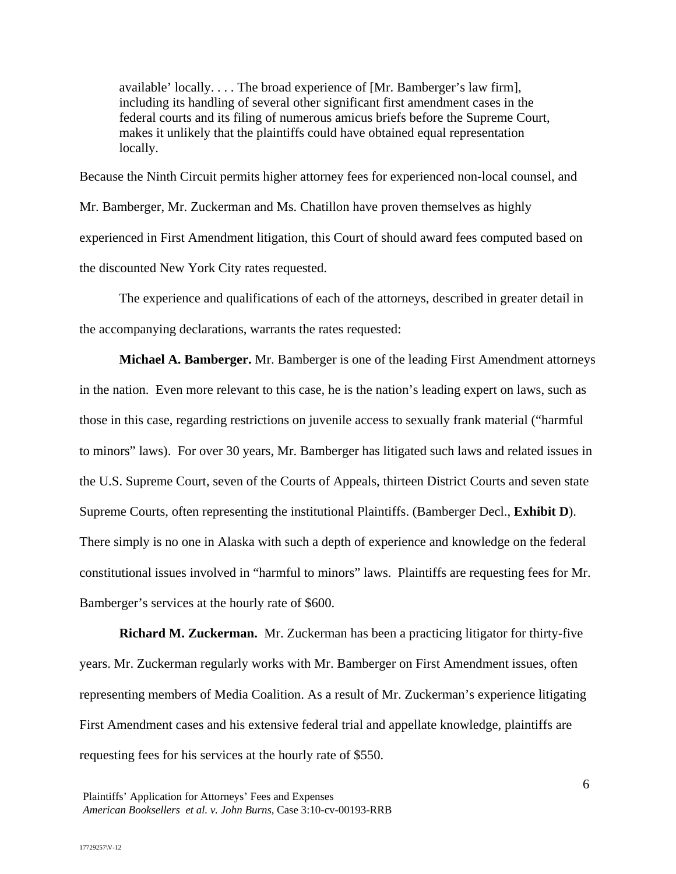available' locally. . . . The broad experience of [Mr. Bamberger's law firm], including its handling of several other significant first amendment cases in the federal courts and its filing of numerous amicus briefs before the Supreme Court, makes it unlikely that the plaintiffs could have obtained equal representation locally.

Because the Ninth Circuit permits higher attorney fees for experienced non-local counsel, and Mr. Bamberger, Mr. Zuckerman and Ms. Chatillon have proven themselves as highly experienced in First Amendment litigation, this Court of should award fees computed based on the discounted New York City rates requested.

The experience and qualifications of each of the attorneys, described in greater detail in the accompanying declarations, warrants the rates requested:

**Michael A. Bamberger.** Mr. Bamberger is one of the leading First Amendment attorneys in the nation. Even more relevant to this case, he is the nation's leading expert on laws, such as those in this case, regarding restrictions on juvenile access to sexually frank material ("harmful to minors" laws). For over 30 years, Mr. Bamberger has litigated such laws and related issues in the U.S. Supreme Court, seven of the Courts of Appeals, thirteen District Courts and seven state Supreme Courts, often representing the institutional Plaintiffs. (Bamberger Decl., **Exhibit D**). There simply is no one in Alaska with such a depth of experience and knowledge on the federal constitutional issues involved in "harmful to minors" laws. Plaintiffs are requesting fees for Mr. Bamberger's services at the hourly rate of \$600.

**Richard M. Zuckerman.** Mr. Zuckerman has been a practicing litigator for thirty-five years. Mr. Zuckerman regularly works with Mr. Bamberger on First Amendment issues, often representing members of Media Coalition. As a result of Mr. Zuckerman's experience litigating First Amendment cases and his extensive federal trial and appellate knowledge, plaintiffs are requesting fees for his services at the hourly rate of \$550.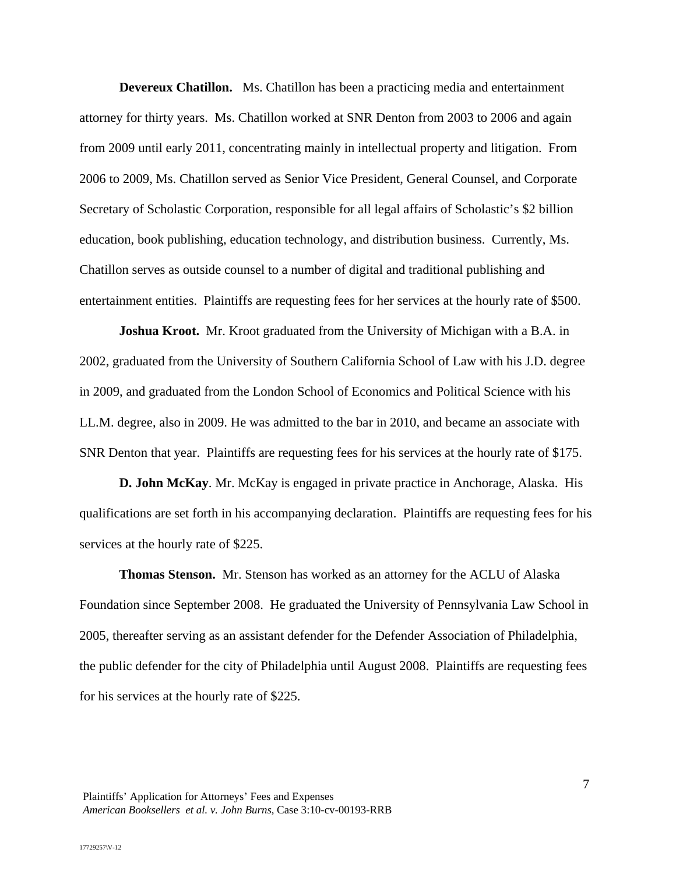**Devereux Chatillon.** Ms. Chatillon has been a practicing media and entertainment attorney for thirty years. Ms. Chatillon worked at SNR Denton from 2003 to 2006 and again from 2009 until early 2011, concentrating mainly in intellectual property and litigation. From 2006 to 2009, Ms. Chatillon served as Senior Vice President, General Counsel, and Corporate Secretary of Scholastic Corporation, responsible for all legal affairs of Scholastic's \$2 billion education, book publishing, education technology, and distribution business. Currently, Ms. Chatillon serves as outside counsel to a number of digital and traditional publishing and entertainment entities. Plaintiffs are requesting fees for her services at the hourly rate of \$500.

**Joshua Kroot.** Mr. Kroot graduated from the University of Michigan with a B.A. in 2002, graduated from the University of Southern California School of Law with his J.D. degree in 2009, and graduated from the London School of Economics and Political Science with his LL.M. degree, also in 2009. He was admitted to the bar in 2010, and became an associate with SNR Denton that year. Plaintiffs are requesting fees for his services at the hourly rate of \$175.

**D. John McKay**. Mr. McKay is engaged in private practice in Anchorage, Alaska. His qualifications are set forth in his accompanying declaration. Plaintiffs are requesting fees for his services at the hourly rate of \$225.

**Thomas Stenson.** Mr. Stenson has worked as an attorney for the ACLU of Alaska Foundation since September 2008. He graduated the University of Pennsylvania Law School in 2005, thereafter serving as an assistant defender for the Defender Association of Philadelphia, the public defender for the city of Philadelphia until August 2008. Plaintiffs are requesting fees for his services at the hourly rate of \$225.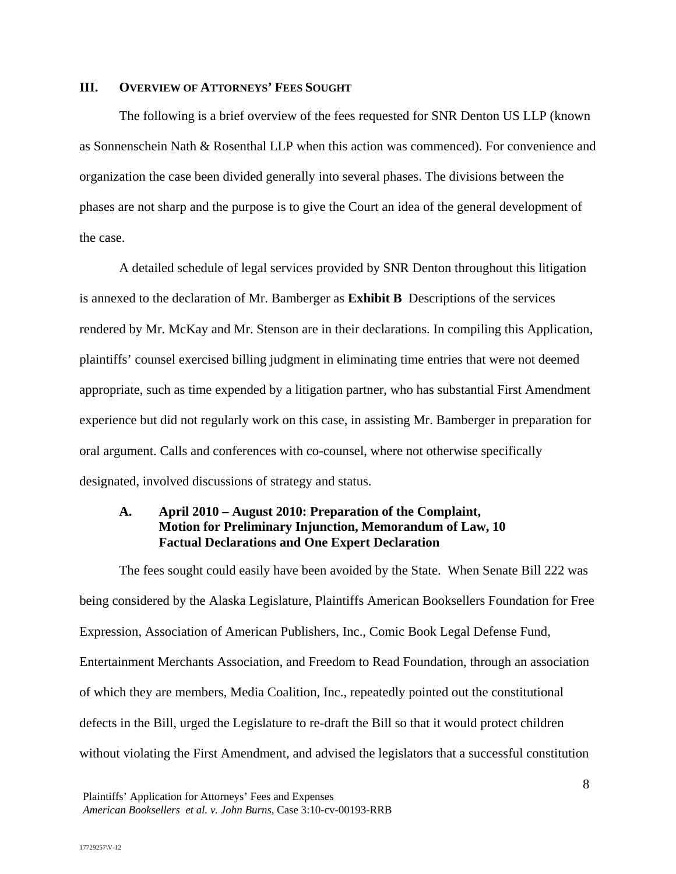## **III. OVERVIEW OF ATTORNEYS' FEES SOUGHT**

The following is a brief overview of the fees requested for SNR Denton US LLP (known as Sonnenschein Nath & Rosenthal LLP when this action was commenced). For convenience and organization the case been divided generally into several phases. The divisions between the phases are not sharp and the purpose is to give the Court an idea of the general development of the case.

A detailed schedule of legal services provided by SNR Denton throughout this litigation is annexed to the declaration of Mr. Bamberger as **Exhibit B** Descriptions of the services rendered by Mr. McKay and Mr. Stenson are in their declarations. In compiling this Application, plaintiffs' counsel exercised billing judgment in eliminating time entries that were not deemed appropriate, such as time expended by a litigation partner, who has substantial First Amendment experience but did not regularly work on this case, in assisting Mr. Bamberger in preparation for oral argument. Calls and conferences with co-counsel, where not otherwise specifically designated, involved discussions of strategy and status.

## **A. April 2010 – August 2010: Preparation of the Complaint, Motion for Preliminary Injunction, Memorandum of Law, 10 Factual Declarations and One Expert Declaration**

The fees sought could easily have been avoided by the State. When Senate Bill 222 was being considered by the Alaska Legislature, Plaintiffs American Booksellers Foundation for Free Expression, Association of American Publishers, Inc., Comic Book Legal Defense Fund, Entertainment Merchants Association, and Freedom to Read Foundation, through an association of which they are members, Media Coalition, Inc., repeatedly pointed out the constitutional defects in the Bill, urged the Legislature to re-draft the Bill so that it would protect children without violating the First Amendment, and advised the legislators that a successful constitution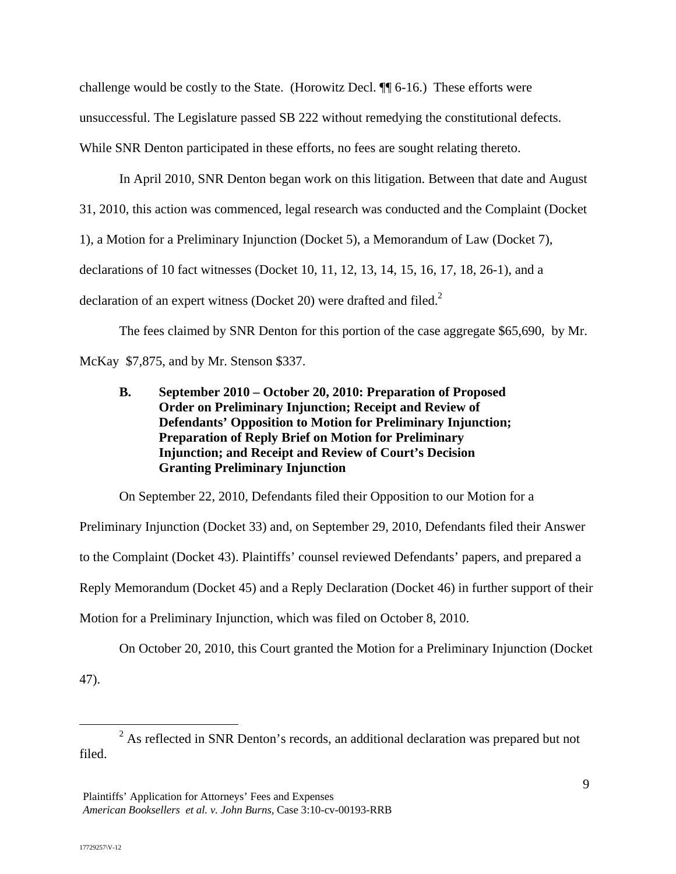challenge would be costly to the State. (Horowitz Decl. ¶¶ 6-16.) These efforts were unsuccessful. The Legislature passed SB 222 without remedying the constitutional defects. While SNR Denton participated in these efforts, no fees are sought relating thereto.

In April 2010, SNR Denton began work on this litigation. Between that date and August 31, 2010, this action was commenced, legal research was conducted and the Complaint (Docket 1), a Motion for a Preliminary Injunction (Docket 5), a Memorandum of Law (Docket 7), declarations of 10 fact witnesses (Docket 10, 11, 12, 13, 14, 15, 16, 17, 18, 26-1), and a declaration of an expert witness (Docket 20) were drafted and filed.<sup>2</sup>

 The fees claimed by SNR Denton for this portion of the case aggregate \$65,690, by Mr. McKay \$7,875, and by Mr. Stenson \$337.

**B. September 2010 – October 20, 2010: Preparation of Proposed Order on Preliminary Injunction; Receipt and Review of Defendants' Opposition to Motion for Preliminary Injunction; Preparation of Reply Brief on Motion for Preliminary Injunction; and Receipt and Review of Court's Decision Granting Preliminary Injunction** 

On September 22, 2010, Defendants filed their Opposition to our Motion for a

Preliminary Injunction (Docket 33) and, on September 29, 2010, Defendants filed their Answer to the Complaint (Docket 43). Plaintiffs' counsel reviewed Defendants' papers, and prepared a Reply Memorandum (Docket 45) and a Reply Declaration (Docket 46) in further support of their Motion for a Preliminary Injunction, which was filed on October 8, 2010.

On October 20, 2010, this Court granted the Motion for a Preliminary Injunction (Docket 47).

 $\overline{\phantom{a}}$  2  $2^2$  As reflected in SNR Denton's records, an additional declaration was prepared but not filed.

Plaintiffs' Application for Attorneys' Fees and Expenses *American Booksellers et al. v. John Burns,* Case 3:10-cv-00193-RRB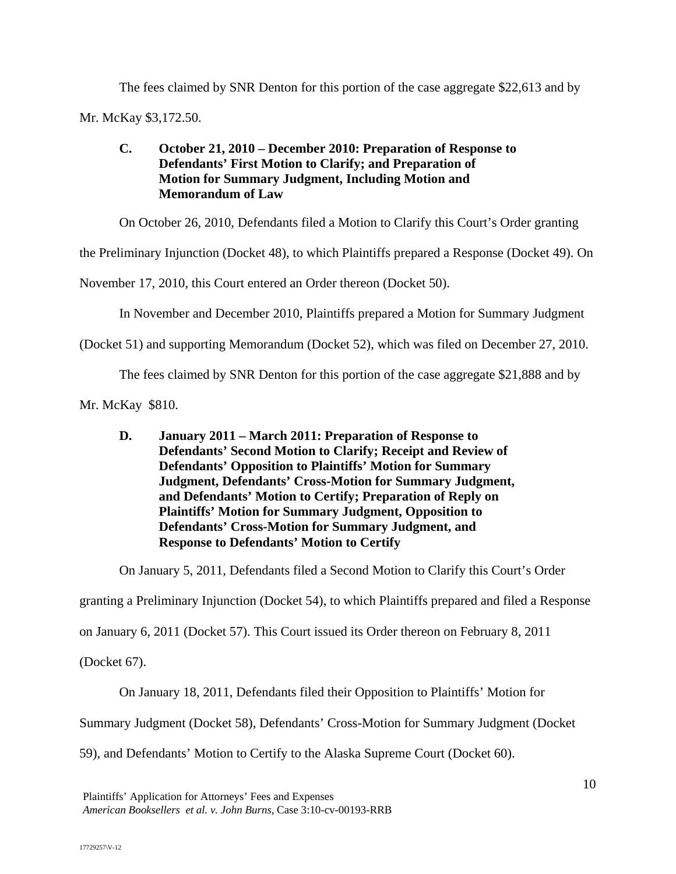The fees claimed by SNR Denton for this portion of the case aggregate \$22,613 and by Mr. McKay \$3,172.50.

# **C. October 21, 2010 – December 2010: Preparation of Response to Defendants' First Motion to Clarify; and Preparation of Motion for Summary Judgment, Including Motion and Memorandum of Law**

On October 26, 2010, Defendants filed a Motion to Clarify this Court's Order granting

the Preliminary Injunction (Docket 48), to which Plaintiffs prepared a Response (Docket 49). On

November 17, 2010, this Court entered an Order thereon (Docket 50).

In November and December 2010, Plaintiffs prepared a Motion for Summary Judgment

(Docket 51) and supporting Memorandum (Docket 52), which was filed on December 27, 2010.

The fees claimed by SNR Denton for this portion of the case aggregate \$21,888 and by

Mr. McKay \$810.

**D. January 2011 – March 2011: Preparation of Response to Defendants' Second Motion to Clarify; Receipt and Review of Defendants' Opposition to Plaintiffs' Motion for Summary Judgment, Defendants' Cross-Motion for Summary Judgment, and Defendants' Motion to Certify; Preparation of Reply on Plaintiffs' Motion for Summary Judgment, Opposition to Defendants' Cross-Motion for Summary Judgment, and Response to Defendants' Motion to Certify** 

On January 5, 2011, Defendants filed a Second Motion to Clarify this Court's Order

granting a Preliminary Injunction (Docket 54), to which Plaintiffs prepared and filed a Response

on January 6, 2011 (Docket 57). This Court issued its Order thereon on February 8, 2011

(Docket 67).

On January 18, 2011, Defendants filed their Opposition to Plaintiffs' Motion for

Summary Judgment (Docket 58), Defendants' Cross-Motion for Summary Judgment (Docket

59), and Defendants' Motion to Certify to the Alaska Supreme Court (Docket 60).

Plaintiffs' Application for Attorneys' Fees and Expenses *American Booksellers et al. v. John Burns,* Case 3:10-cv-00193-RRB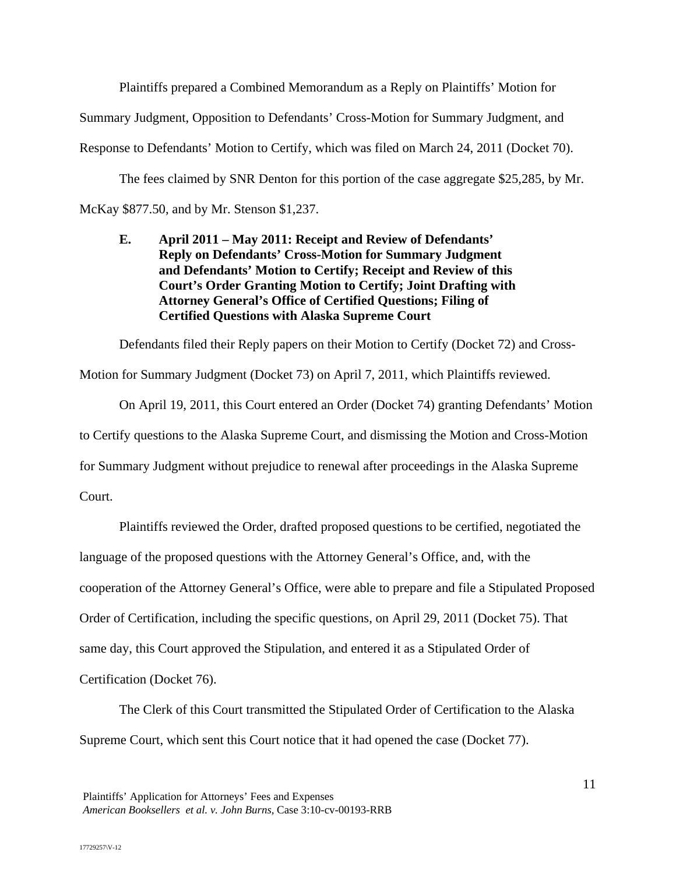Plaintiffs prepared a Combined Memorandum as a Reply on Plaintiffs' Motion for

Summary Judgment, Opposition to Defendants' Cross-Motion for Summary Judgment, and

Response to Defendants' Motion to Certify, which was filed on March 24, 2011 (Docket 70).

 The fees claimed by SNR Denton for this portion of the case aggregate \$25,285, by Mr. McKay \$877.50, and by Mr. Stenson \$1,237.

**E. April 2011 – May 2011: Receipt and Review of Defendants' Reply on Defendants' Cross-Motion for Summary Judgment and Defendants' Motion to Certify; Receipt and Review of this Court's Order Granting Motion to Certify; Joint Drafting with Attorney General's Office of Certified Questions; Filing of Certified Questions with Alaska Supreme Court** 

Defendants filed their Reply papers on their Motion to Certify (Docket 72) and Cross-

Motion for Summary Judgment (Docket 73) on April 7, 2011, which Plaintiffs reviewed.

On April 19, 2011, this Court entered an Order (Docket 74) granting Defendants' Motion to Certify questions to the Alaska Supreme Court, and dismissing the Motion and Cross-Motion for Summary Judgment without prejudice to renewal after proceedings in the Alaska Supreme Court.

Plaintiffs reviewed the Order, drafted proposed questions to be certified, negotiated the language of the proposed questions with the Attorney General's Office, and, with the cooperation of the Attorney General's Office, were able to prepare and file a Stipulated Proposed Order of Certification, including the specific questions, on April 29, 2011 (Docket 75). That same day, this Court approved the Stipulation, and entered it as a Stipulated Order of Certification (Docket 76).

The Clerk of this Court transmitted the Stipulated Order of Certification to the Alaska Supreme Court, which sent this Court notice that it had opened the case (Docket 77).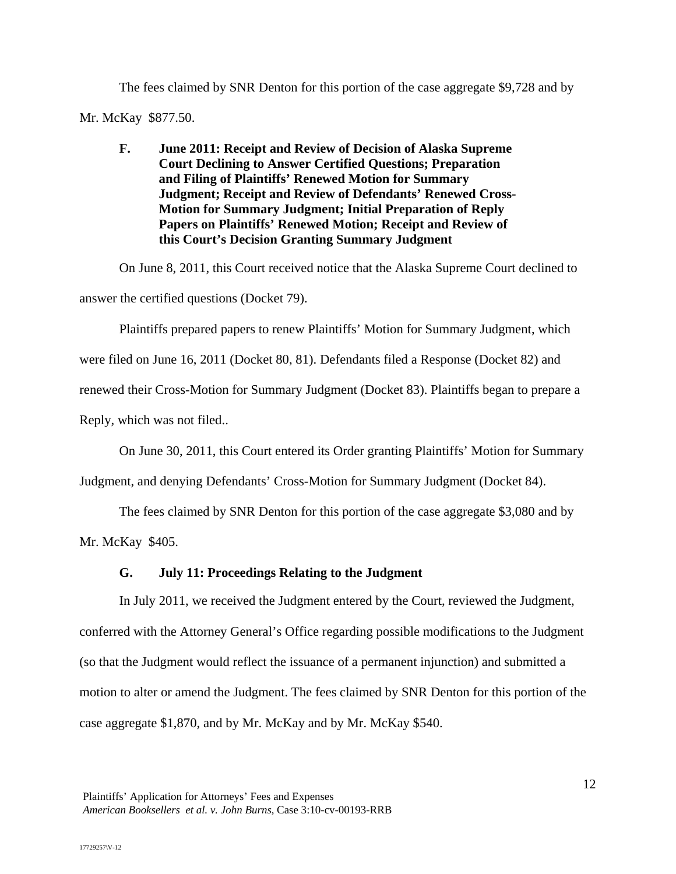The fees claimed by SNR Denton for this portion of the case aggregate \$9,728 and by Mr. McKay \$877.50.

**F. June 2011: Receipt and Review of Decision of Alaska Supreme Court Declining to Answer Certified Questions; Preparation and Filing of Plaintiffs' Renewed Motion for Summary Judgment; Receipt and Review of Defendants' Renewed Cross-Motion for Summary Judgment; Initial Preparation of Reply Papers on Plaintiffs' Renewed Motion; Receipt and Review of this Court's Decision Granting Summary Judgment** 

On June 8, 2011, this Court received notice that the Alaska Supreme Court declined to answer the certified questions (Docket 79).

Plaintiffs prepared papers to renew Plaintiffs' Motion for Summary Judgment, which were filed on June 16, 2011 (Docket 80, 81). Defendants filed a Response (Docket 82) and renewed their Cross-Motion for Summary Judgment (Docket 83). Plaintiffs began to prepare a Reply, which was not filed..

On June 30, 2011, this Court entered its Order granting Plaintiffs' Motion for Summary

Judgment, and denying Defendants' Cross-Motion for Summary Judgment (Docket 84).

The fees claimed by SNR Denton for this portion of the case aggregate \$3,080 and by

Mr. McKay \$405.

# **G. July 11: Proceedings Relating to the Judgment**

In July 2011, we received the Judgment entered by the Court, reviewed the Judgment, conferred with the Attorney General's Office regarding possible modifications to the Judgment (so that the Judgment would reflect the issuance of a permanent injunction) and submitted a motion to alter or amend the Judgment. The fees claimed by SNR Denton for this portion of the case aggregate \$1,870, and by Mr. McKay and by Mr. McKay \$540.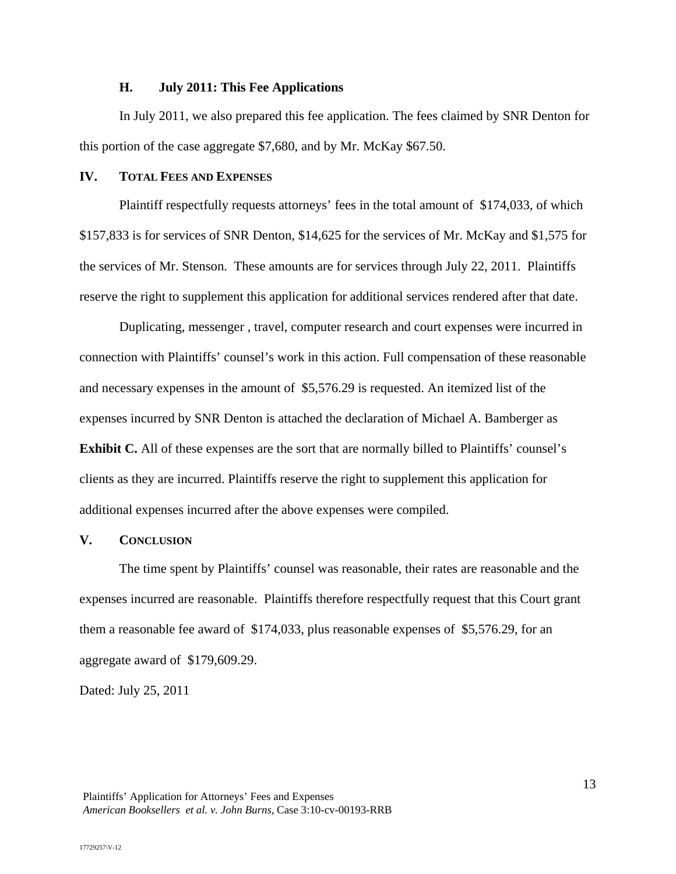#### **H. July 2011: This Fee Applications**

In July 2011, we also prepared this fee application. The fees claimed by SNR Denton for this portion of the case aggregate \$7,680, and by Mr. McKay \$67.50.

#### **IV. TOTAL FEES AND EXPENSES**

 Plaintiff respectfully requests attorneys' fees in the total amount of \$174,033, of which \$157,833 is for services of SNR Denton, \$14,625 for the services of Mr. McKay and \$1,575 for the services of Mr. Stenson. These amounts are for services through July 22, 2011. Plaintiffs reserve the right to supplement this application for additional services rendered after that date.

 Duplicating, messenger , travel, computer research and court expenses were incurred in connection with Plaintiffs' counsel's work in this action. Full compensation of these reasonable and necessary expenses in the amount of \$5,576.29 is requested. An itemized list of the expenses incurred by SNR Denton is attached the declaration of Michael A. Bamberger as **Exhibit C.** All of these expenses are the sort that are normally billed to Plaintiffs' counsel's clients as they are incurred. Plaintiffs reserve the right to supplement this application for additional expenses incurred after the above expenses were compiled.

## **V. CONCLUSION**

The time spent by Plaintiffs' counsel was reasonable, their rates are reasonable and the expenses incurred are reasonable. Plaintiffs therefore respectfully request that this Court grant them a reasonable fee award of \$174,033, plus reasonable expenses of \$5,576.29, for an aggregate award of \$179,609.29.

Dated: July 25, 2011